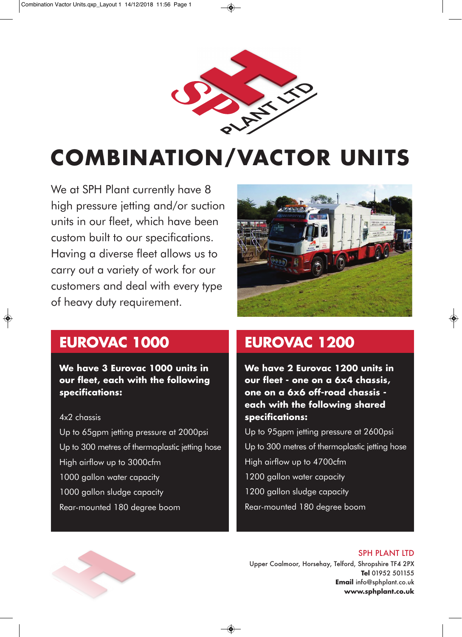

# **COMBINATION/VACTOR UNITS**

We at SPH Plant currently have 8 high pressure jetting and/or suction units in our fleet, which have been custom built to our specifications. Having a diverse fleet allows us to carry out a variety of work for our customers and deal with every type of heavy duty requirement.



# **EUROVAC 1000**

**We have 3 Eurovac 1000 units in our fleet, each with the following specifications:**

#### 4x2 chassis

Up to 65gpm jetting pressure at 2000psi Up to 300 metres of thermoplastic jetting hose High airflow up to 3000cfm 1000 gallon water capacity 1000 gallon sludge capacity Rear-mounted 180 degree boom

# **EUROVAC 1200**

**We have 2 Eurovac 1200 units in our fleet - one on a 6x4 chassis, one on a 6x6 off-road chassis each with the following shared specifications:**

Up to 95gpm jetting pressure at 2600psi Up to 300 metres of thermoplastic jetting hose High airflow up to 4700cfm 1200 gallon water capacity 1200 gallon sludge capacity Rear-mounted 180 degree boom



SPH PLANT LTD Upper Coalmoor, Horsehay, Telford, Shropshire TF4 2PX **Tel** 01952 501155 **Email** info@sphplant.co.uk **www.sphplant.co.uk**